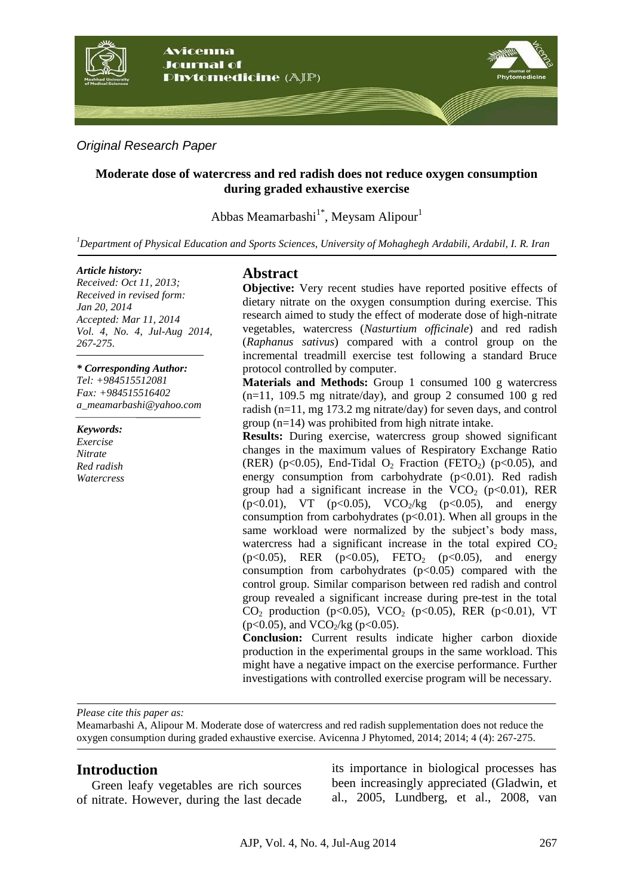

*Original Research Paper*

### **Moderate dose of watercress and red radish does not reduce oxygen consumption during graded exhaustive exercise**

Abbas Meamarbashi<sup>1\*</sup>, Meysam Alipour<sup>1</sup>

*<sup>1</sup>Department of Physical Education and Sports Sciences, University of Mohaghegh Ardabili, Ardabil, I. R. Iran*

#### *Article history:*

*Received: Oct 11, 2013; Received in revised form: Jan 20, 2014 Accepted: Mar 11, 2014 Vol. 4, No. 4, Jul-Aug 2014, 267-275.*

*\* Corresponding Author: Tel: +984515512081 Fax: +984515516402 a\_meamarbashi@yahoo.com*

*Keywords: Exercise Nitrate Red radish Watercress*

## **Abstract**

**Objective:** Very recent studies have reported positive effects of dietary nitrate on the oxygen consumption during exercise. This research aimed to study the effect of moderate dose of high-nitrate vegetables, watercress (*Nasturtium officinale*) and red radish (*Raphanus sativus*) compared with a control group on the incremental treadmill exercise test following a standard Bruce protocol controlled by computer.

**Materials and Methods:** Group 1 consumed 100 g watercress  $(n=11, 109.5 \text{ mg nitrate/day})$ , and group 2 consumed 100 g red radish (n=11, mg 173.2 mg nitrate/day) for seven days, and control group (n=14) was prohibited from high nitrate intake.

**Results:** During exercise, watercress group showed significant changes in the maximum values of Respiratory Exchange Ratio (RER) (p<0.05), End-Tidal  $O_2$  Fraction (FETO<sub>2</sub>) (p<0.05), and energy consumption from carbohydrate  $(p<0.01)$ . Red radish group had a significant increase in the  $VCO<sub>2</sub>$  (p<0.01), RER (p<0.01), VT (p<0.05), VCO<sub>2</sub>/kg (p<0.05), and energy consumption from carbohydrates  $(p<0.01)$ . When all groups in the same workload were normalized by the subject's body mass, watercress had a significant increase in the total expired  $CO<sub>2</sub>$  $(p<0.05)$ , RER  $(p<0.05)$ , FETO<sub>2</sub>  $(p<0.05)$ , and energy consumption from carbohydrates  $(p<0.05)$  compared with the control group. Similar comparison between red radish and control group revealed a significant increase during pre-test in the total  $CO_2$  production (p<0.05), VCO<sub>2</sub> (p<0.05), RER (p<0.01), VT ( $p<0.05$ ), and  $VCO_2/kg$  ( $p<0.05$ ).

**Conclusion:** Current results indicate higher carbon dioxide production in the experimental groups in the same workload. This might have a negative impact on the exercise performance. Further investigations with controlled exercise program will be necessary.

*Please cite this paper as:* 

Meamarbashi A, Alipour M. Moderate dose of watercress and red radish supplementation does not reduce the oxygen consumption during graded exhaustive exercise. Avicenna J Phytomed, 2014; 2014; 4 (4): 267-275.

### **Introduction**

Green leafy vegetables are rich sources of nitrate. However, during the last decade its importance in biological processes has been increasingly appreciated (Gladwin, et al., 2005, Lundberg, et al., 2008, van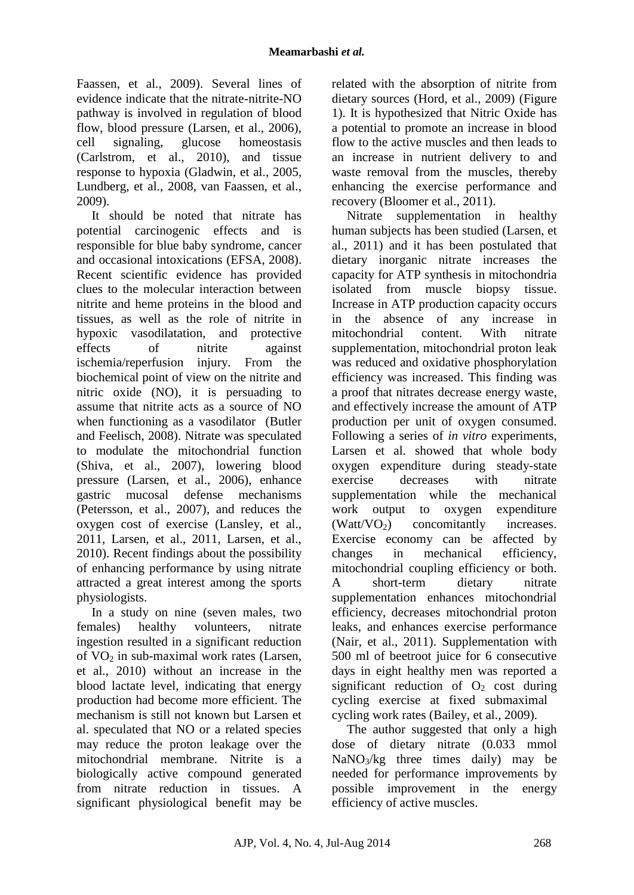Faassen, et al., 2009). Several lines of evidence indicate that the nitrate-nitrite-NO pathway is involved in regulation of blood flow, blood pressure (Larsen, et al., 2006), cell signaling, glucose homeostasis (Carlstrom, et al., 2010), and tissue response to hypoxia (Gladwin, et al., 2005, Lundberg, et al., 2008, van Faassen, et al., 2009).

It should be noted that nitrate has potential carcinogenic effects and is responsible for blue baby syndrome, cancer and occasional intoxications (EFSA, 2008). Recent scientific evidence has provided clues to the molecular interaction between nitrite and heme proteins in the blood and tissues, as well as the role of nitrite in hypoxic vasodilatation, and protective effects of nitrite against ischemia/reperfusion injury. From the biochemical point of view on the nitrite and nitric oxide (NO), it is persuading to assume that nitrite acts as a source of NO when functioning as a vasodilator (Butler and Feelisch, 2008). Nitrate was speculated to modulate the mitochondrial function (Shiva, et al., 2007), lowering blood pressure (Larsen, et al., 2006), enhance gastric mucosal defense mechanisms (Petersson, et al., 2007), and reduces the oxygen cost of exercise (Lansley, et al., 2011, Larsen, et al., 2011, Larsen, et al., 2010). Recent findings about the possibility of enhancing performance by using nitrate attracted a great interest among the sports physiologists.

In a study on nine (seven males, two females) healthy volunteers, nitrate ingestion resulted in a significant reduction of  $VO<sub>2</sub>$  in sub-maximal work rates (Larsen, et al., 2010) without an increase in the blood lactate level, indicating that energy production had become more efficient. The mechanism is still not known but Larsen et al. speculated that NO or a related species may reduce the proton leakage over the mitochondrial membrane. Nitrite is a biologically active compound generated from nitrate reduction in tissues. A significant physiological benefit may be

related with the absorption of nitrite from dietary sources (Hord, et al., 2009) (Figure 1). It is hypothesized that Nitric Oxide has a potential to promote an increase in blood flow to the active muscles and then leads to an increase in nutrient delivery to and waste removal from the muscles, thereby enhancing the exercise performance and recovery (Bloomer et al., 2011).

Nitrate supplementation in healthy human subjects has been studied (Larsen, et al., 2011) and it has been postulated that dietary inorganic nitrate increases the capacity for ATP synthesis in mitochondria isolated from muscle biopsy tissue. Increase in ATP production capacity occurs in the absence of any increase in mitochondrial content. With nitrate supplementation, mitochondrial proton leak was reduced and oxidative phosphorylation efficiency was increased. This finding was a proof that nitrates decrease energy waste, and effectively increase the amount of ATP production per unit of oxygen consumed. Following a series of *in vitro* experiments, Larsen et al. showed that whole body oxygen expenditure during steady-state exercise decreases with nitrate supplementation while the mechanical work output to oxygen expenditure  $(Watt/VO<sub>2</sub>)$  concomitantly increases. Exercise economy can be affected by changes in mechanical efficiency, mitochondrial coupling efficiency or both. A short-term dietary nitrate supplementation enhances mitochondrial efficiency, decreases mitochondrial proton leaks, and enhances exercise performance (Nair, et al., 2011). Supplementation with 500 ml of beetroot juice for 6 consecutive days in eight healthy men was reported a significant reduction of  $O_2$  cost during cycling exercise at fixed submaximal cycling work rates (Bailey, et al., 2009).

The author suggested that only a high dose of dietary nitrate (0.033 mmol  $NaNO<sub>3</sub>/kg$  three times daily) may be needed for performance improvements by possible improvement in the energy efficiency of active muscles.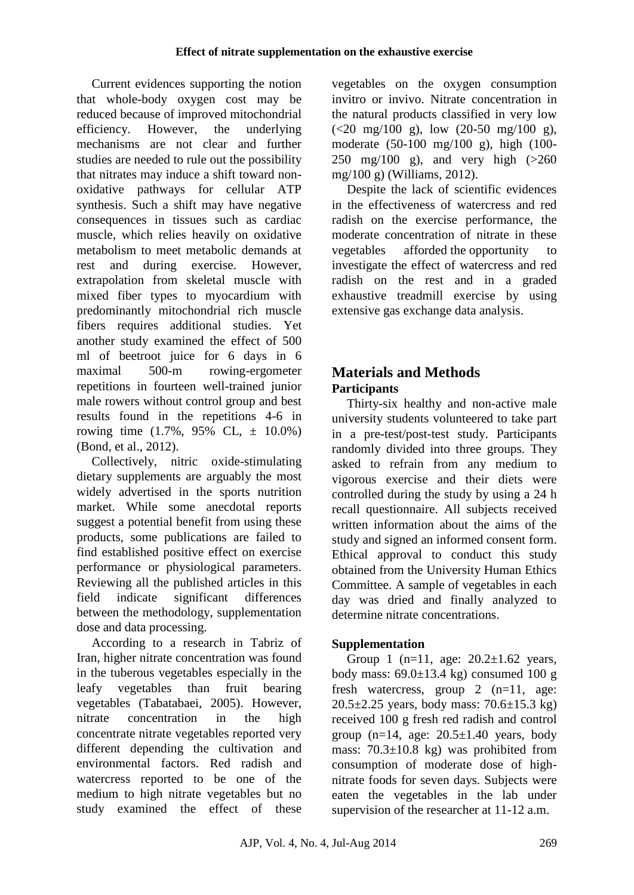Current evidences supporting the notion that whole-body oxygen cost may be reduced because of improved mitochondrial efficiency. However, the underlying mechanisms are not clear and further studies are needed to rule out the possibility that nitrates may induce a shift toward nonoxidative pathways for cellular ATP synthesis. Such a shift may have negative consequences in tissues such as cardiac muscle, which relies heavily on oxidative metabolism to meet metabolic demands at rest and during exercise. However, extrapolation from skeletal muscle with mixed fiber types to myocardium with predominantly mitochondrial rich muscle fibers requires additional studies. Yet another study examined the effect of 500 ml of beetroot juice for 6 days in 6 maximal 500-m rowing-ergometer repetitions in fourteen well-trained junior male rowers without control group and best results found in the repetitions 4-6 in rowing time (1.7%, 95% CL, ± 10.0%) (Bond, et al., 2012).

Collectively, nitric oxide-stimulating dietary supplements are arguably the most widely advertised in the sports nutrition market. While some anecdotal reports suggest a potential benefit from using these products, some publications are failed to find established positive effect on exercise performance or physiological parameters. Reviewing all the published articles in this field indicate significant differences between the methodology, supplementation dose and data processing.

According to a research in Tabriz of Iran, higher nitrate concentration was found in the tuberous vegetables especially in the leafy vegetables than fruit bearing vegetables (Tabatabaei, 2005). However, nitrate concentration in the high concentrate nitrate vegetables reported very different depending the cultivation and environmental factors. Red radish and watercress reported to be one of the medium to high nitrate vegetables but no study examined the effect of these vegetables on the oxygen consumption invitro or invivo. Nitrate concentration in the natural products classified in very low  $(<20 \text{ mg}/100 \text{ g})$ , low  $(20-50 \text{ mg}/100 \text{ g})$ , moderate (50-100 mg/100 g), high (100- 250 mg/100 g), and very high  $(>260$ mg/100 g) (Williams, 2012).

Despite the lack of scientific evidences in the effectiveness of watercress and red radish on the exercise performance, the moderate concentration of nitrate in these vegetables afforded the opportunity to investigate the effect of watercress and red radish on the rest and in a graded exhaustive treadmill exercise by using extensive gas exchange data analysis.

# **Materials and Methods Participants**

Thirty-six healthy and non-active male university students volunteered to take part in a pre-test/post-test study. Participants randomly divided into three groups. They asked to refrain from any medium to vigorous exercise and their diets were controlled during the study by using a 24 h recall questionnaire. All subjects received written information about the aims of the study and signed an informed consent form. Ethical approval to conduct this study obtained from the University Human Ethics Committee. A sample of vegetables in each day was dried and finally analyzed to determine nitrate concentrations.

## **Supplementation**

Group 1 (n=11, age:  $20.2 \pm 1.62$  years, body mass:  $69.0 \pm 13.4$  kg) consumed 100 g fresh watercress, group 2 (n=11, age:  $20.5 \pm 2.25$  years, body mass:  $70.6 \pm 15.3$  kg) received 100 g fresh red radish and control group  $(n=14, \text{ age}: 20.5\pm1.40 \text{ years}, \text{ body}$ mass: 70.3±10.8 kg) was prohibited from consumption of moderate dose of highnitrate foods for seven days. Subjects were eaten the vegetables in the lab under supervision of the researcher at 11-12 a.m.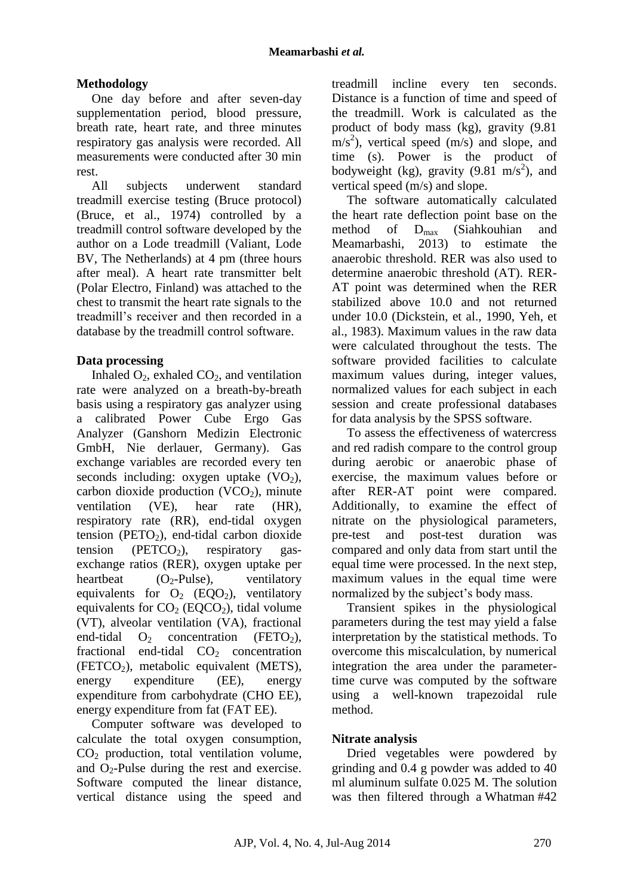## **Methodology**

One day before and after seven-day supplementation period, blood pressure, breath rate, heart rate, and three minutes respiratory gas analysis were recorded. All measurements were conducted after 30 min rest.

All subjects underwent standard treadmill exercise testing (Bruce protocol) (Bruce, et al., 1974) controlled by a treadmill control software developed by the author on a Lode treadmill (Valiant, Lode BV, The Netherlands) at 4 pm (three hours after meal). A heart rate transmitter belt (Polar Electro, Finland) was attached to the chest to transmit the heart rate signals to the treadmill's receiver and then recorded in a database by the treadmill control software.

### **Data processing**

Inhaled  $O_2$ , exhaled  $CO_2$ , and ventilation rate were analyzed on a breath-by-breath basis using a respiratory gas analyzer using a calibrated Power Cube Ergo Gas Analyzer (Ganshorn Medizin Electronic GmbH, Nie derlauer, Germany). Gas exchange variables are recorded every ten seconds including: oxygen uptake  $(VO<sub>2</sub>)$ , carbon dioxide production  $(VCO<sub>2</sub>)$ , minute<br>ventilation  $(VE)$ , hear rate  $(HR)$ , ventilation (VE), hear rate (HR), respiratory rate (RR), end-tidal oxygen tension (PETO<sub>2</sub>), end-tidal carbon dioxide tension (PETCO<sub>2</sub>), respiratory gasexchange ratios (RER), oxygen uptake per heartbeat  $(O_2$ -Pulse), ventilatory equivalents for  $O_2$  (EQO<sub>2</sub>), ventilatory equivalents for  $CO<sub>2</sub>$  (EQCO<sub>2</sub>), tidal volume (VT), alveolar ventilation (VA), fractional end-tidal  $O_2$  concentration (FETO<sub>2</sub>), fractional end-tidal  $CO<sub>2</sub>$  concentration (FETCO<sub>2</sub>), metabolic equivalent (METS), energy expenditure (EE), energy expenditure from carbohydrate (CHO EE), energy expenditure from fat (FAT EE).

Computer software was developed to calculate the total oxygen consumption, CO<sup>2</sup> production, total ventilation volume, and  $O_2$ -Pulse during the rest and exercise. Software computed the linear distance, vertical distance using the speed and treadmill incline every ten seconds. Distance is a function of time and speed of the treadmill. Work is calculated as the product of body mass (kg), gravity (9.81  $\text{m/s}^2$ ), vertical speed (m/s) and slope, and time (s). Power is the product of bodyweight (kg), gravity  $(9.81 \text{ m/s}^2)$ , and vertical speed (m/s) and slope.

The software automatically calculated the heart rate deflection point base on the method of  $D_{\text{max}}$  (Siahkouhian and Meamarbashi, 2013) to estimate the 2013) to estimate the anaerobic threshold. RER was also used to determine anaerobic threshold (AT). RER-AT point was determined when the RER stabilized above 10.0 and not returned under 10.0 (Dickstein, et al., 1990, Yeh, et al., 1983). Maximum values in the raw data were calculated throughout the tests. The software provided facilities to calculate maximum values during, integer values, normalized values for each subject in each session and create professional databases for data analysis by the SPSS software.

To assess the effectiveness of watercress and red radish compare to the control group during aerobic or anaerobic phase of exercise, the maximum values before or after RER-AT point were compared. Additionally, to examine the effect of nitrate on the physiological parameters, pre-test and post-test duration was compared and only data from start until the equal time were processed. In the next step, maximum values in the equal time were normalized by the subject's body mass.

Transient spikes in the physiological parameters during the test may yield a false interpretation by the statistical methods. To overcome this miscalculation, by numerical integration the area under the parametertime curve was computed by the software using a well-known trapezoidal rule method.

## **Nitrate analysis**

Dried vegetables were powdered by grinding and 0.4 g powder was added to 40 ml aluminum sulfate 0.025 M. The solution was then filtered through a Whatman #42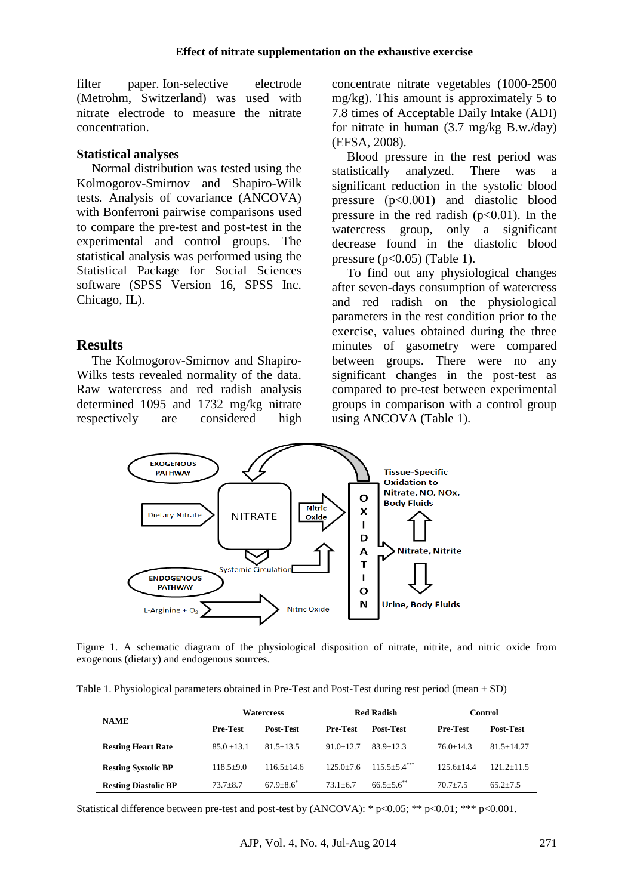filter paper. Ion-selective electrode (Metrohm, Switzerland) was used with nitrate electrode to measure the nitrate concentration.

#### **Statistical analyses**

Normal distribution was tested using the Kolmogorov-Smirnov and Shapiro-Wilk tests. Analysis of covariance (ANCOVA) with Bonferroni pairwise comparisons used to compare the pre-test and post-test in the experimental and control groups. The statistical analysis was performed using the Statistical Package for Social Sciences software (SPSS Version 16, SPSS Inc. Chicago, IL).

### **Results**

The Kolmogorov-Smirnov and Shapiro-Wilks tests revealed normality of the data. Raw watercress and red radish analysis determined 1095 and 1732 mg/kg nitrate respectively are considered high concentrate nitrate vegetables (1000-2500 mg/kg). This amount is approximately 5 to 7.8 times of Acceptable Daily Intake (ADI) for nitrate in human (3.7 mg/kg B.w./day) (EFSA, 2008).

Blood pressure in the rest period was statistically analyzed. There was a significant reduction in the systolic blood pressure (p<0.001) and diastolic blood pressure in the red radish  $(p<0.01)$ . In the watercress group, only a significant decrease found in the diastolic blood pressure ( $p<0.05$ ) (Table 1).

To find out any physiological changes after seven-days consumption of watercress and red radish on the physiological parameters in the rest condition prior to the exercise, values obtained during the three minutes of gasometry were compared between groups. There were no any significant changes in the post-test as compared to pre-test between experimental groups in comparison with a control group using ANCOVA (Table 1).



Figure 1. A schematic diagram of the physiological disposition of nitrate, nitrite, and nitric oxide from exogenous (dietary) and endogenous sources.

Table 1. Physiological parameters obtained in Pre-Test and Post-Test during rest period (mean  $\pm$  SD)

| <b>NAME</b>                 | <b>Watercress</b> |                | <b>Red Radish</b> |                             | Control         |                  |
|-----------------------------|-------------------|----------------|-------------------|-----------------------------|-----------------|------------------|
|                             | <b>Pre-Test</b>   | Post-Test      | <b>Pre-Test</b>   | Post-Test                   | <b>Pre-Test</b> | <b>Post-Test</b> |
| <b>Resting Heart Rate</b>   | $85.0 + 13.1$     | $81.5 + 13.5$  | $91.0 + 12.7$     | $83.9 + 12.3$               | $76.0 + 14.3$   | $81.5 + 14.27$   |
| <b>Resting Systolic BP</b>  | $118.5+9.0$       | $116.5 + 14.6$ | $125.0+7.6$       | $115.5 + 54$ <sup>***</sup> | $125.6 + 14.4$  | $121.2 + 11.5$   |
| <b>Resting Diastolic BP</b> | $73.7 + 8.7$      | $67.9 + 8.6^*$ | $73.1 + 6.7$      | $66.5 + 5.6$ **             | $70.7 + 7.5$    | $65.2 + 7.5$     |

Statistical difference between pre-test and post-test by (ANCOVA): \*  $p<0.05$ ; \*\*  $p<0.01$ ; \*\*\*  $p<0.001$ .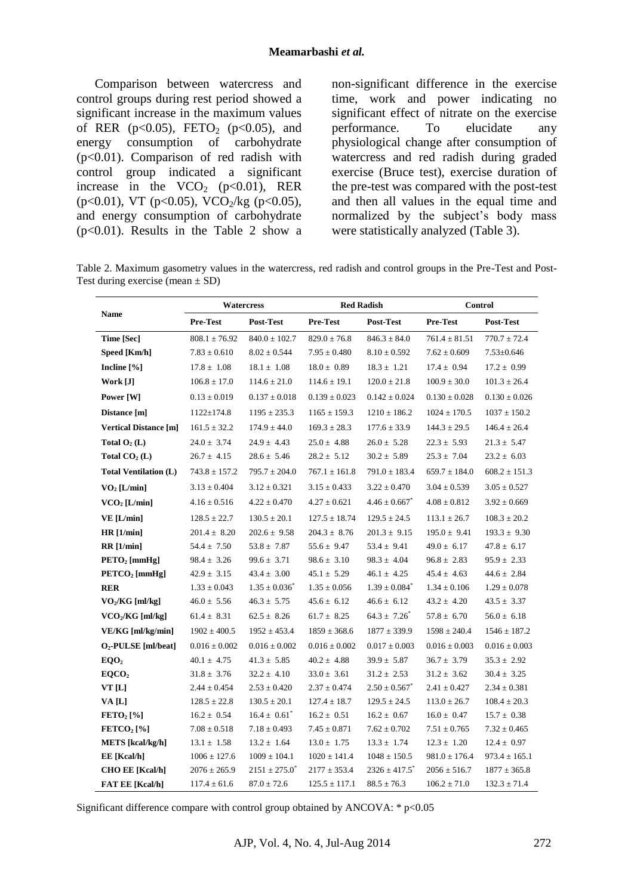#### **Meamarbashi** *et al.*

Comparison between watercress and control groups during rest period showed a significant increase in the maximum values of RER ( $p<0.05$ ), FETO<sub>2</sub> ( $p<0.05$ ), and energy consumption of carbohydrate (p<0.01). Comparison of red radish with control group indicated a significant increase in the  $VCO<sub>2</sub>$  (p<0.01), RER (p<0.01), VT (p<0.05), VCO<sub>2</sub>/kg (p<0.05), and energy consumption of carbohydrate (p<0.01). Results in the Table 2 show a non-significant difference in the exercise time, work and power indicating no significant effect of nitrate on the exercise performance. To elucidate any physiological change after consumption of watercress and red radish during graded exercise (Bruce test), exercise duration of the pre-test was compared with the post-test and then all values in the equal time and normalized by the subject's body mass were statistically analyzed (Table 3).

Table 2. Maximum gasometry values in the watercress, red radish and control groups in the Pre-Test and Post-Test during exercise (mean  $\pm$  SD)

| Name                           | <b>Watercress</b> |                           | <b>Red Radish</b> |                               | <b>Control</b>    |                   |
|--------------------------------|-------------------|---------------------------|-------------------|-------------------------------|-------------------|-------------------|
|                                | Pre-Test          | Post-Test                 | Pre-Test          | Post-Test                     | <b>Pre-Test</b>   | Post-Test         |
| Time [Sec]                     | $808.1 \pm 76.92$ | $840.0 \pm 102.7$         | $829.0 \pm 76.8$  | $846.3 \pm 84.0$              | $761.4 \pm 81.51$ | $770.7 \pm 72.4$  |
| Speed [Km/h]                   | $7.83 \pm 0.610$  | $8.02 \pm 0.544$          | $7.95 \pm 0.480$  | $8.10 \pm 0.592$              | $7.62 \pm 0.609$  | $7.53 \pm 0.646$  |
| Incline $[\%]$                 | $17.8 \pm 1.08$   | $18.1 \pm 1.08$           | $18.0 \pm 0.89$   | $18.3 \pm 1.21$               | $17.4 \pm 0.94$   | $17.2 \pm 0.99$   |
| Work [J]                       | $106.8 \pm 17.0$  | $114.6 \pm 21.0$          | $114.6 \pm 19.1$  | $120.0 \pm 21.8$              | $100.9 \pm 30.0$  | $101.3 \pm 26.4$  |
| Power [W]                      | $0.13 \pm 0.019$  | $0.137 \pm 0.018$         | $0.139 \pm 0.023$ | $0.142 \pm 0.024$             | $0.130 \pm 0.028$ | $0.130 \pm 0.026$ |
| Distance [m]                   | $1122 \pm 174.8$  | $1195 \pm 235.3$          | $1165 \pm 159.3$  | $1210 \pm 186.2$              | $1024 \pm 170.5$  | $1037 \pm 150.2$  |
| <b>Vertical Distance [m]</b>   | $161.5 \pm 32.2$  | $174.9 \pm 44.0$          | $169.3 \pm 28.3$  | $177.6 \pm 33.9$              | $144.3 \pm 29.5$  | $146.4 \pm 26.4$  |
| Total $O_2(L)$                 | $24.0 \pm 3.74$   | $24.9 \pm 4.43$           | $25.0 \pm 4.88$   | $26.0 \pm 5.28$               | $22.3 \pm 5.93$   | $21.3 \pm 5.47$   |
| Total $CO2$ (L)                | $26.7 \pm 4.15$   | $28.6 \pm 5.46$           | $28.2 \pm 5.12$   | $30.2 \pm 5.89$               | $25.3 \pm 7.04$   | $23.2 \pm 6.03$   |
| <b>Total Ventilation (L)</b>   | $743.8 \pm 157.2$ | $795.7 \pm 204.0$         | $767.1 \pm 161.8$ | $791.0 \pm 183.4$             | $659.7 \pm 184.0$ | $608.2 \pm 151.3$ |
| $VO2$ [L/min]                  | $3.13 \pm 0.404$  | $3.12 \pm 0.321$          | $3.15 \pm 0.433$  | $3.22 \pm 0.470$              | $3.04 \pm 0.539$  | $3.05 \pm 0.527$  |
| $VCO2$ [L/min]                 | $4.16 \pm 0.516$  | $4.22 \pm 0.470$          | $4.27 \pm 0.621$  | $4.46 \pm 0.667^*$            | $4.08 \pm 0.812$  | $3.92 \pm 0.669$  |
| VE [L/min]                     | $128.5 \pm 22.7$  | $130.5 \pm 20.1$          | $127.5 \pm 18.74$ | $129.5 \pm 24.5$              | $113.1 \pm 26.7$  | $108.3 \pm 20.2$  |
| HR [1/min]                     | $201.4 \pm 8.20$  | $202.6 \pm 9.58$          | $204.3 \pm 8.76$  | $201.3 \pm 9.15$              | $195.0 \pm 9.41$  | $193.3 \pm 9.30$  |
| RR[1/min]                      | $54.4 \pm 7.50$   | $53.8 \pm 7.87$           | $55.6 \pm 9.47$   | $53.4 \pm 9.41$               | $49.0 \pm 6.17$   | $47.8 \pm 6.17$   |
| PETO <sub>2</sub> [mmHg]       | $98.4 \pm 3.26$   | $99.6 \pm 3.71$           | $98.6 \pm 3.10$   | $98.3 \pm 4.04$               | $96.8 \pm 2.83$   | $95.9 \pm 2.33$   |
| PETCO <sub>2</sub> [mmHg]      | $42.9 \pm 3.15$   | $43.4 \pm 3.00$           | $45.1 \pm 5.29$   | $46.1 \pm 4.25$               | $45.4 \pm 4.63$   | $44.6 \pm 2.84$   |
| <b>RER</b>                     | $1.33 \pm 0.043$  | $1.35 \pm 0.036^{\circ}$  | $1.35 \pm 0.056$  | $1.39 \pm 0.084$ <sup>*</sup> | $1.34 \pm 0.106$  | $1.29 \pm 0.078$  |
| $VO2/KG$ [ml/kg]               | $46.0 \pm 5.56$   | $46.3 \pm 5.75$           | $45.6 \pm 6.12$   | $46.6 \pm 6.12$               | $43.2 \pm 4.20$   | $43.5 \pm 3.37$   |
| $VCO2/KG$ [ml/kg]              | $61.4 \pm 8.31$   | $62.5 \pm 8.26$           | $61.7 \pm 8.25$   | $64.3 \pm 7.26^{\degree}$     | $57.8 \pm 6.70$   | $56.0 \pm 6.18$   |
| $VE/KG$ [ml/kg/min]            | $1902 \pm 400.5$  | $1952 \pm 453.4$          | $1859 \pm 368.6$  | $1877 \pm 339.9$              | $1598 \pm 240.4$  | $1546 \pm 187.2$  |
| $O_2$ -PULSE [ml/beat]         | $0.016 \pm 0.002$ | $0.016 \pm 0.002$         | $0.016 \pm 0.002$ | $0.017 \pm 0.003$             | $0.016 \pm 0.003$ | $0.016 \pm 0.003$ |
| EQO <sub>2</sub>               | $40.1 \pm 4.75$   | $41.3 \pm 5.85$           | $40.2 \pm 4.88$   | $39.9 \pm 5.87$               | $36.7 \pm 3.79$   | $35.3 \pm 2.92$   |
| EOCO <sub>2</sub>              | $31.8 \pm 3.76$   | $32.2 \pm 4.10$           | $33.0 \pm 3.61$   | $31.2 \pm 2.53$               | $31.2 \pm 3.62$   | $30.4 \pm 3.25$   |
| VT[L]                          | $2.44 \pm 0.454$  | $2.53 \pm 0.420$          | $2.37 \pm 0.474$  | $2.50 \pm 0.567$ <sup>*</sup> | $2.41 \pm 0.427$  | $2.34 \pm 0.381$  |
| VA [L]                         | $128.5 \pm 22.8$  | $130.5 \pm 20.1$          | $127.4 \pm 18.7$  | $129.5 \pm 24.5$              | $113.0 \pm 26.7$  | $108.4 \pm 20.3$  |
| $\text{FETO}_2\left[\%\right]$ | $16.2 \pm 0.54$   | $16.4 \pm 0.61^{\degree}$ | $16.2 \pm 0.51$   | $16.2 \pm 0.67$               | $16.0 \pm 0.47$   | $15.7 \pm 0.38$   |
| FETCO <sub>2</sub> [%]         | $7.08 \pm 0.518$  | $7.18 \pm 0.493$          | $7.45 \pm 0.871$  | $7.62 \pm 0.702$              | $7.51 \pm 0.765$  | $7.32 \pm 0.465$  |
| <b>METS</b> [kcal/kg/h]        | $13.1 \pm 1.58$   | $13.2 \pm 1.64$           | $13.0 \pm 1.75$   | $13.3 \pm 1.74$               | $12.3 \pm 1.20$   | $12.4 \pm 0.97$   |
| $EE$ [Kcal/h]                  | $1006 \pm 127.6$  | $1009 \pm 104.1$          | $1020 \pm 141.4$  | $1048 \pm 150.5$              | $981.0 \pm 176.4$ | $973.4 \pm 165.1$ |
| <b>CHO EE [Kcal/h]</b>         | $2076 \pm 265.9$  | $2151 \pm 275.0^*$        | $2177 \pm 353.4$  | $2326 \pm 417.5$ <sup>*</sup> | $2056 \pm 516.7$  | $1877 \pm 365.8$  |
| <b>FAT EE [Kcal/h]</b>         | $117.4 \pm 61.6$  | $87.0 \pm 72.6$           | $125.5 \pm 117.1$ | $88.5 \pm 76.3$               | $106.2 \pm 71.0$  | $132.3 \pm 71.4$  |

Significant difference compare with control group obtained by ANCOVA:  $*$  p<0.05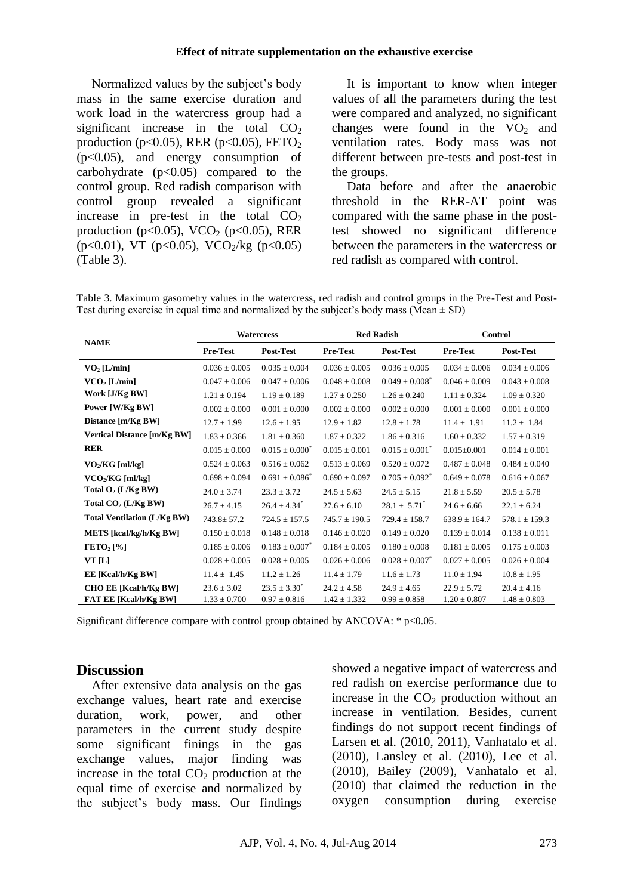#### **Effect of nitrate supplementation on the exhaustive exercise**

Normalized values by the subject's body mass in the same exercise duration and work load in the watercress group had a significant increase in the total  $CO<sub>2</sub>$ production (p<0.05), RER (p<0.05), FETO<sub>2</sub>  $(p<0.05)$ , and energy consumption of carbohydrate  $(p<0.05)$  compared to the control group. Red radish comparison with control group revealed a significant increase in pre-test in the total  $CO<sub>2</sub>$ production (p<0.05), VCO<sub>2</sub> (p<0.05), RER (p<0.01), VT (p<0.05), VCO<sub>2</sub>/kg (p<0.05) (Table 3).

It is important to know when integer values of all the parameters during the test were compared and analyzed, no significant changes were found in the  $VO<sub>2</sub>$  and ventilation rates. Body mass was not different between pre-tests and post-test in the groups.

Data before and after the anaerobic threshold in the RER-AT point was compared with the same phase in the posttest showed no significant difference between the parameters in the watercress or red radish as compared with control.

Table 3. Maximum gasometry values in the watercress, red radish and control groups in the Pre-Test and Post-Test during exercise in equal time and normalized by the subject's body mass (Mean  $\pm$  SD)

| <b>NAME</b>                        | <b>Watercress</b> |                              | <b>Red Radish</b> |                              | <b>Control</b>    |                   |
|------------------------------------|-------------------|------------------------------|-------------------|------------------------------|-------------------|-------------------|
|                                    | Pre-Test          | <b>Post-Test</b>             | <b>Pre-Test</b>   | Post-Test                    | <b>Pre-Test</b>   | Post-Test         |
| VO <sub>2</sub> [L/min]            | $0.036 \pm 0.005$ | $0.035 \pm 0.004$            | $0.036 + 0.005$   | $0.036 \pm 0.005$            | $0.034 \pm 0.006$ | $0.034 + 0.006$   |
| $VCO2$ [L/min]                     | $0.047 \pm 0.006$ | $0.047 \pm 0.006$            | $0.048 \pm 0.008$ | $0.049 \pm 0.008^*$          | $0.046 \pm 0.009$ | $0.043 \pm 0.008$ |
| Work [J/Kg BW]                     | $1.21 \pm 0.194$  | $1.19 \pm 0.189$             | $1.27 \pm 0.250$  | $1.26 \pm 0.240$             | $1.11 \pm 0.324$  | $1.09 \pm 0.320$  |
| Power [W/Kg BW]                    | $0.002 \pm 0.000$ | $0.001 \pm 0.000$            | $0.002 \pm 0.000$ | $0.002 \pm 0.000$            | $0.001 \pm 0.000$ | $0.001 \pm 0.000$ |
| Distance [m/Kg BW]                 | $12.7 \pm 1.99$   | $12.6 \pm 1.95$              | $12.9 \pm 1.82$   | $12.8 \pm 1.78$              | $11.4 \pm 1.91$   | $11.2 \pm 1.84$   |
| <b>Vertical Distance [m/Kg BW]</b> | $1.83 \pm 0.366$  | $1.81 \pm 0.360$             | $1.87 \pm 0.322$  | $1.86 \pm 0.316$             | $1.60 \pm 0.332$  | $1.57 \pm 0.319$  |
| <b>RER</b>                         | $0.015 \pm 0.000$ | $0.015 \pm 0.000^*$          | $0.015 \pm 0.001$ | $0.015 \pm 0.001^*$          | $0.015 \pm 0.001$ | $0.014 \pm 0.001$ |
| $VO2/KG$ [ml/kg]                   | $0.524 \pm 0.063$ | $0.516 \pm 0.062$            | $0.513 \pm 0.069$ | $0.520 \pm 0.072$            | $0.487 \pm 0.048$ | $0.484 \pm 0.040$ |
| $VCO2/KG$ [ml/kg]                  | $0.698 \pm 0.094$ | $0.691 \pm 0.086^*$          | $0.690 \pm 0.097$ | $0.705 \pm 0.092^*$          | $0.649 \pm 0.078$ | $0.616 \pm 0.067$ |
| Total $O_2$ (L/Kg BW)              | $24.0 \pm 3.74$   | $23.3 \pm 3.72$              | $24.5 \pm 5.63$   | $24.5 \pm 5.15$              | $21.8 \pm 5.59$   | $20.5 \pm 5.78$   |
| Total $CO2$ (L/Kg BW)              | $26.7 \pm 4.15$   | $26.4 \pm 4.34$ <sup>*</sup> | $27.6 \pm 6.10$   | $28.1 \pm 5.71$ <sup>*</sup> | $24.6 \pm 6.66$   | $22.1 \pm 6.24$   |
| <b>Total Ventilation (L/Kg BW)</b> | $743.8 \pm 57.2$  | $724.5 \pm 157.5$            | $745.7 \pm 190.5$ | $729.4 \pm 158.7$            | $638.9 \pm 164.7$ | $578.1 \pm 159.3$ |
| METS [kcal/kg/h/Kg BW]             | $0.150 \pm 0.018$ | $0.148 \pm 0.018$            | $0.146 \pm 0.020$ | $0.149 \pm 0.020$            | $0.139 \pm 0.014$ | $0.138 \pm 0.011$ |
| $\text{FETO}_2$ [%]                | $0.185 \pm 0.006$ | $0.183 \pm 0.007^*$          | $0.184 \pm 0.005$ | $0.180 \pm 0.008$            | $0.181 \pm 0.005$ | $0.175 \pm 0.003$ |
| VT[L]                              | $0.028 \pm 0.005$ | $0.028 \pm 0.005$            | $0.026 \pm 0.006$ | $0.028 \pm 0.007$            | $0.027 \pm 0.005$ | $0.026 \pm 0.004$ |
| EE [Kcal/h/Kg BW]                  | $11.4 \pm 1.45$   | $11.2 \pm 1.26$              | $11.4 \pm 1.79$   | $11.6 \pm 1.73$              | $11.0 \pm 1.94$   | $10.8 \pm 1.95$   |
| <b>CHO EE [Kcal/h/Kg BW]</b>       | $23.6 \pm 3.02$   | $23.5 \pm 3.30^*$            | $24.2 \pm 4.58$   | $24.9 \pm 4.65$              | $22.9 \pm 5.72$   | $20.4 \pm 4.16$   |
| <b>FAT EE [Kcal/h/Kg BW]</b>       | $1.33 \pm 0.700$  | $0.97 \pm 0.816$             | $1.42 \pm 1.332$  | $0.99 \pm 0.858$             | $1.20 \pm 0.807$  | $1.48 \pm 0.803$  |

Significant difference compare with control group obtained by ANCOVA:  $* p<0.05$ .

### **Discussion**

After extensive data analysis on the gas exchange values, heart rate and exercise duration, work, power, and other parameters in the current study despite some significant finings in the gas exchange values, major finding was increase in the total  $CO<sub>2</sub>$  production at the equal time of exercise and normalized by the subject's body mass. Our findings showed a negative impact of watercress and red radish on exercise performance due to increase in the  $CO<sub>2</sub>$  production without an increase in ventilation. Besides, current findings do not support recent findings of Larsen et al. (2010, 2011), Vanhatalo et al. (2010), Lansley et al. (2010), Lee et al. (2010), Bailey (2009), Vanhatalo et al. (2010) that claimed the reduction in the oxygen consumption during exercise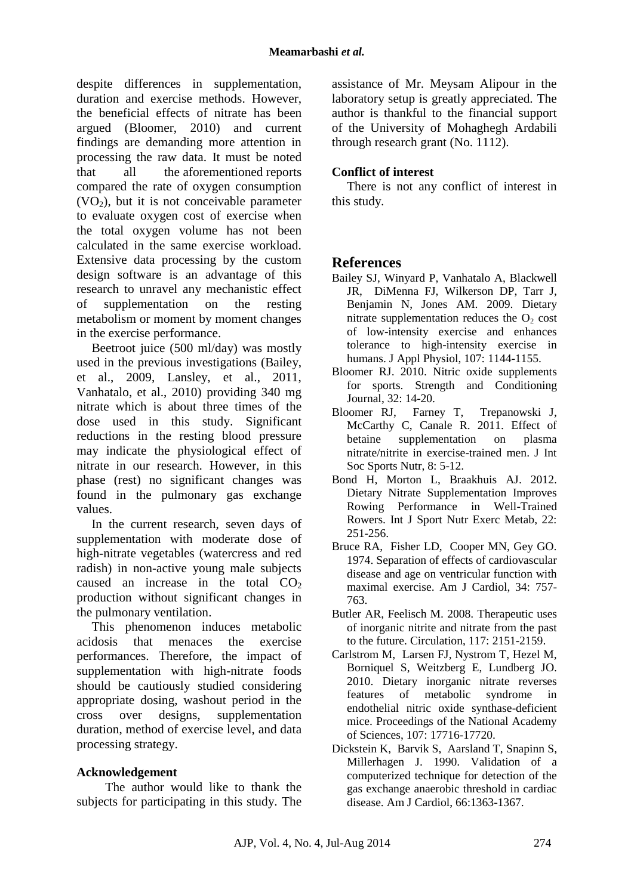despite differences in supplementation, duration and exercise methods. However, the beneficial effects of nitrate has been argued (Bloomer, 2010) and current findings are demanding more attention in processing the raw data. It must be noted that all the aforementioned reports compared the rate of oxygen consumption  $(VO<sub>2</sub>)$ , but it is not conceivable parameter to evaluate oxygen cost of exercise when the total oxygen volume has not been calculated in the same exercise workload. Extensive data processing by the custom design software is an advantage of this research to unravel any mechanistic effect of supplementation on the resting metabolism or moment by moment changes in the exercise performance.

Beetroot juice (500 ml/day) was mostly used in the previous investigations (Bailey, et al., 2009, Lansley, et al., 2011, Vanhatalo, et al., 2010) providing 340 mg nitrate which is about three times of the dose used in this study. Significant reductions in the resting blood pressure may indicate the physiological effect of nitrate in our research. However, in this phase (rest) no significant changes was found in the pulmonary gas exchange values.

In the current research, seven days of supplementation with moderate dose of high-nitrate vegetables (watercress and red radish) in non-active young male subjects caused an increase in the total  $CO<sub>2</sub>$ production without significant changes in the pulmonary ventilation.

This phenomenon induces metabolic acidosis that menaces the exercise performances. Therefore, the impact of supplementation with high-nitrate foods should be cautiously studied considering appropriate dosing, washout period in the cross over designs, supplementation duration, method of exercise level, and data processing strategy.

## **Acknowledgement**

The author would like to thank the subjects for participating in this study. The assistance of Mr. Meysam Alipour in the laboratory setup is greatly appreciated. The author is thankful to the financial support of the University of Mohaghegh Ardabili through research grant (No. 1112).

### **Conflict of interest**

There is not any conflict of interest in this study.

## **References**

- Bailey SJ, Winyard P, Vanhatalo A, Blackwell JR, DiMenna FJ, Wilkerson DP, Tarr J, Benjamin N, Jones AM. 2009. Dietary nitrate supplementation reduces the  $O<sub>2</sub>$  cost of low-intensity exercise and enhances tolerance to high-intensity exercise in humans. J Appl Physiol, 107: 1144-1155.
- Bloomer RJ. 2010. Nitric oxide supplements for sports. Strength and Conditioning Journal, 32: 14-20.
- Bloomer RJ, Farney T, Trepanowski J, McCarthy C, Canale R. 2011. Effect of betaine supplementation on plasma nitrate/nitrite in exercise-trained men. J Int Soc Sports Nutr, 8: 5-12.
- Bond H, Morton L, Braakhuis AJ. 2012. Dietary Nitrate Supplementation Improves Rowing Performance in Well-Trained Rowers. Int J Sport Nutr Exerc Metab, 22: 251-256.
- Bruce RA, Fisher LD, Cooper MN, Gey GO. 1974. Separation of effects of cardiovascular disease and age on ventricular function with maximal exercise. Am J Cardiol, 34: 757- 763.
- Butler AR, Feelisch M. 2008. Therapeutic uses of inorganic nitrite and nitrate from the past to the future. Circulation, 117: 2151-2159.
- Carlstrom M, Larsen FJ, Nystrom T, Hezel M, Borniquel S, Weitzberg E, Lundberg JO. 2010. Dietary inorganic nitrate reverses features of metabolic syndrome in endothelial nitric oxide synthase-deficient mice. Proceedings of the National Academy of Sciences, 107: 17716-17720.
- Dickstein K, Barvik S, Aarsland T, Snapinn S, Millerhagen J. 1990. Validation of a computerized technique for detection of the gas exchange anaerobic threshold in cardiac disease. Am J Cardiol, 66:1363-1367.